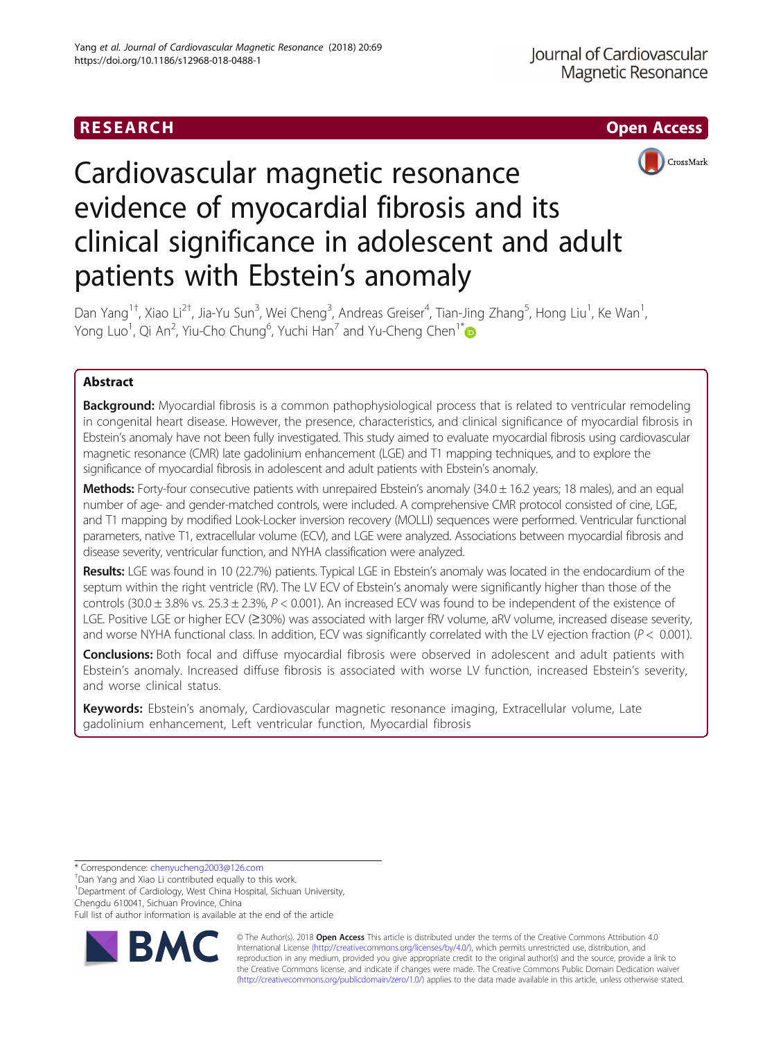



# Cardiovascular magnetic resonance evidence of myocardial fibrosis and its clinical significance in adolescent and adult patients with Ebstein's anomaly

Dan Yang<sup>1†</sup>, Xiao Li<sup>2†</sup>, Jia-Yu Sun<sup>3</sup>, Wei Cheng<sup>3</sup>, Andreas Greiser<sup>4</sup>, Tian-Jing Zhang<sup>5</sup>, Hong Liu<sup>1</sup>, Ke Wan<sup>1</sup> , Yong Luo<sup>1</sup>, Qi An<sup>2</sup>, Yiu-Cho Chung<sup>6</sup>, Yuchi Han<sup>7</sup> and Yu-Cheng Chen<sup>1[\\*](http://orcid.org/0000-0002-1771-4769)</sup>

## Abstract

**Background:** Myocardial fibrosis is a common pathophysiological process that is related to ventricular remodeling in congenital heart disease. However, the presence, characteristics, and clinical significance of myocardial fibrosis in Ebstein's anomaly have not been fully investigated. This study aimed to evaluate myocardial fibrosis using cardiovascular magnetic resonance (CMR) late gadolinium enhancement (LGE) and T1 mapping techniques, and to explore the significance of myocardial fibrosis in adolescent and adult patients with Ebstein's anomaly.

Methods: Forty-four consecutive patients with unrepaired Ebstein's anomaly  $(34.0 \pm 16.2$  years; 18 males), and an equal number of age- and gender-matched controls, were included. A comprehensive CMR protocol consisted of cine, LGE, and T1 mapping by modified Look-Locker inversion recovery (MOLLI) sequences were performed. Ventricular functional parameters, native T1, extracellular volume (ECV), and LGE were analyzed. Associations between myocardial fibrosis and disease severity, ventricular function, and NYHA classification were analyzed.

Results: LGE was found in 10 (22.7%) patients. Typical LGE in Ebstein's anomaly was located in the endocardium of the septum within the right ventricle (RV). The LV ECV of Ebstein's anomaly were significantly higher than those of the controls (30.0  $\pm$  3.8% vs. 25.3  $\pm$  2.3%, P < 0.001). An increased ECV was found to be independent of the existence of LGE. Positive LGE or higher ECV (≥30%) was associated with larger fRV volume, aRV volume, increased disease severity, and worse NYHA functional class. In addition, ECV was significantly correlated with the LV ejection fraction ( $P < 0.001$ ).

**Conclusions:** Both focal and diffuse myocardial fibrosis were observed in adolescent and adult patients with Ebstein's anomaly. Increased diffuse fibrosis is associated with worse LV function, increased Ebstein's severity, and worse clinical status.

Keywords: Ebstein's anomaly, Cardiovascular magnetic resonance imaging, Extracellular volume, Late gadolinium enhancement, Left ventricular function, Myocardial fibrosis

\* Correspondence: [chenyucheng2003@126.com](mailto:chenyucheng2003@126.com) †

<sup>1</sup>Department of Cardiology, West China Hospital, Sichuan University, Chengdu 610041, Sichuan Province, China

Full list of author information is available at the end of the article



© The Author(s). 2018 Open Access This article is distributed under the terms of the Creative Commons Attribution 4.0 International License [\(http://creativecommons.org/licenses/by/4.0/](http://creativecommons.org/licenses/by/4.0/)), which permits unrestricted use, distribution, and reproduction in any medium, provided you give appropriate credit to the original author(s) and the source, provide a link to the Creative Commons license, and indicate if changes were made. The Creative Commons Public Domain Dedication waiver [\(http://creativecommons.org/publicdomain/zero/1.0/](http://creativecommons.org/publicdomain/zero/1.0/)) applies to the data made available in this article, unless otherwise stated.

<sup>&</sup>lt;sup>+</sup>Dan Yang and Xiao Li contributed equally to this work.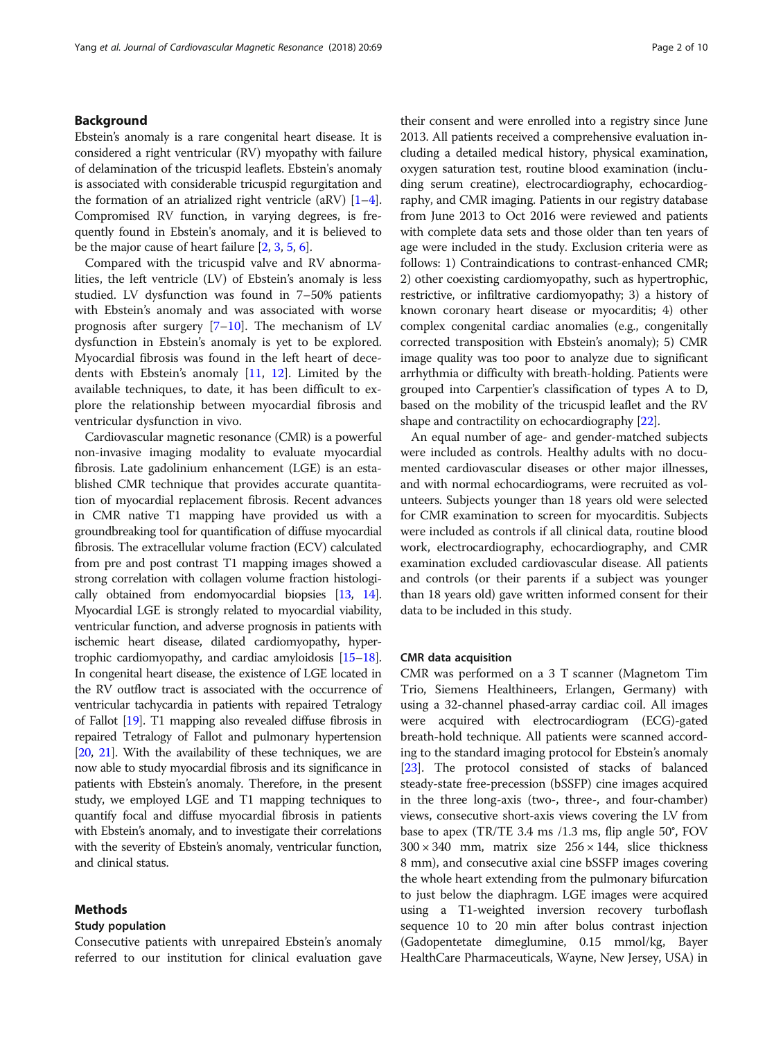## Background

Ebstein's anomaly is a rare congenital heart disease. It is considered a right ventricular (RV) myopathy with failure of delamination of the tricuspid leaflets. Ebstein's anomaly is associated with considerable tricuspid regurgitation and the formation of an atrialized right ventricle (aRV)  $[1-4]$  $[1-4]$  $[1-4]$  $[1-4]$  $[1-4]$ . Compromised RV function, in varying degrees, is frequently found in Ebstein's anomaly, and it is believed to be the major cause of heart failure [\[2,](#page-8-0) [3](#page-8-0), [5,](#page-8-0) [6](#page-8-0)].

Compared with the tricuspid valve and RV abnormalities, the left ventricle (LV) of Ebstein's anomaly is less studied. LV dysfunction was found in 7–50% patients with Ebstein's anomaly and was associated with worse prognosis after surgery [\[7](#page-8-0)–[10](#page-8-0)]. The mechanism of LV dysfunction in Ebstein's anomaly is yet to be explored. Myocardial fibrosis was found in the left heart of decedents with Ebstein's anomaly [\[11](#page-8-0), [12](#page-8-0)]. Limited by the available techniques, to date, it has been difficult to explore the relationship between myocardial fibrosis and ventricular dysfunction in vivo.

Cardiovascular magnetic resonance (CMR) is a powerful non-invasive imaging modality to evaluate myocardial fibrosis. Late gadolinium enhancement (LGE) is an established CMR technique that provides accurate quantitation of myocardial replacement fibrosis. Recent advances in CMR native T1 mapping have provided us with a groundbreaking tool for quantification of diffuse myocardial fibrosis. The extracellular volume fraction (ECV) calculated from pre and post contrast T1 mapping images showed a strong correlation with collagen volume fraction histologically obtained from endomyocardial biopsies [[13](#page-8-0), [14](#page-8-0)]. Myocardial LGE is strongly related to myocardial viability, ventricular function, and adverse prognosis in patients with ischemic heart disease, dilated cardiomyopathy, hypertrophic cardiomyopathy, and cardiac amyloidosis [\[15](#page-8-0)–[18](#page-8-0)]. In congenital heart disease, the existence of LGE located in the RV outflow tract is associated with the occurrence of ventricular tachycardia in patients with repaired Tetralogy of Fallot [\[19\]](#page-8-0). T1 mapping also revealed diffuse fibrosis in repaired Tetralogy of Fallot and pulmonary hypertension [[20](#page-8-0), [21\]](#page-8-0). With the availability of these techniques, we are now able to study myocardial fibrosis and its significance in patients with Ebstein's anomaly. Therefore, in the present study, we employed LGE and T1 mapping techniques to quantify focal and diffuse myocardial fibrosis in patients with Ebstein's anomaly, and to investigate their correlations with the severity of Ebstein's anomaly, ventricular function, and clinical status.

#### Methods

#### Study population

Consecutive patients with unrepaired Ebstein's anomaly referred to our institution for clinical evaluation gave their consent and were enrolled into a registry since June 2013. All patients received a comprehensive evaluation including a detailed medical history, physical examination, oxygen saturation test, routine blood examination (including serum creatine), electrocardiography, echocardiography, and CMR imaging. Patients in our registry database from June 2013 to Oct 2016 were reviewed and patients with complete data sets and those older than ten years of age were included in the study. Exclusion criteria were as follows: 1) Contraindications to contrast-enhanced CMR; 2) other coexisting cardiomyopathy, such as hypertrophic, restrictive, or infiltrative cardiomyopathy; 3) a history of known coronary heart disease or myocarditis; 4) other complex congenital cardiac anomalies (e.g., congenitally corrected transposition with Ebstein's anomaly); 5) CMR image quality was too poor to analyze due to significant arrhythmia or difficulty with breath-holding. Patients were grouped into Carpentier's classification of types A to D, based on the mobility of the tricuspid leaflet and the RV shape and contractility on echocardiography [[22](#page-8-0)].

An equal number of age- and gender-matched subjects were included as controls. Healthy adults with no documented cardiovascular diseases or other major illnesses, and with normal echocardiograms, were recruited as volunteers. Subjects younger than 18 years old were selected for CMR examination to screen for myocarditis. Subjects were included as controls if all clinical data, routine blood work, electrocardiography, echocardiography, and CMR examination excluded cardiovascular disease. All patients and controls (or their parents if a subject was younger than 18 years old) gave written informed consent for their data to be included in this study.

#### CMR data acquisition

CMR was performed on a 3 T scanner (Magnetom Tim Trio, Siemens Healthineers, Erlangen, Germany) with using a 32-channel phased-array cardiac coil. All images were acquired with electrocardiogram (ECG)-gated breath-hold technique. All patients were scanned according to the standard imaging protocol for Ebstein's anomaly [[23](#page-8-0)]. The protocol consisted of stacks of balanced steady-state free-precession (bSSFP) cine images acquired in the three long-axis (two-, three-, and four-chamber) views, consecutive short-axis views covering the LV from base to apex (TR/TE 3.4 ms /1.3 ms, flip angle 50°, FOV  $300 \times 340$  mm, matrix size  $256 \times 144$ , slice thickness 8 mm), and consecutive axial cine bSSFP images covering the whole heart extending from the pulmonary bifurcation to just below the diaphragm. LGE images were acquired using a T1-weighted inversion recovery turboflash sequence 10 to 20 min after bolus contrast injection (Gadopentetate dimeglumine, 0.15 mmol/kg, Bayer HealthCare Pharmaceuticals, Wayne, New Jersey, USA) in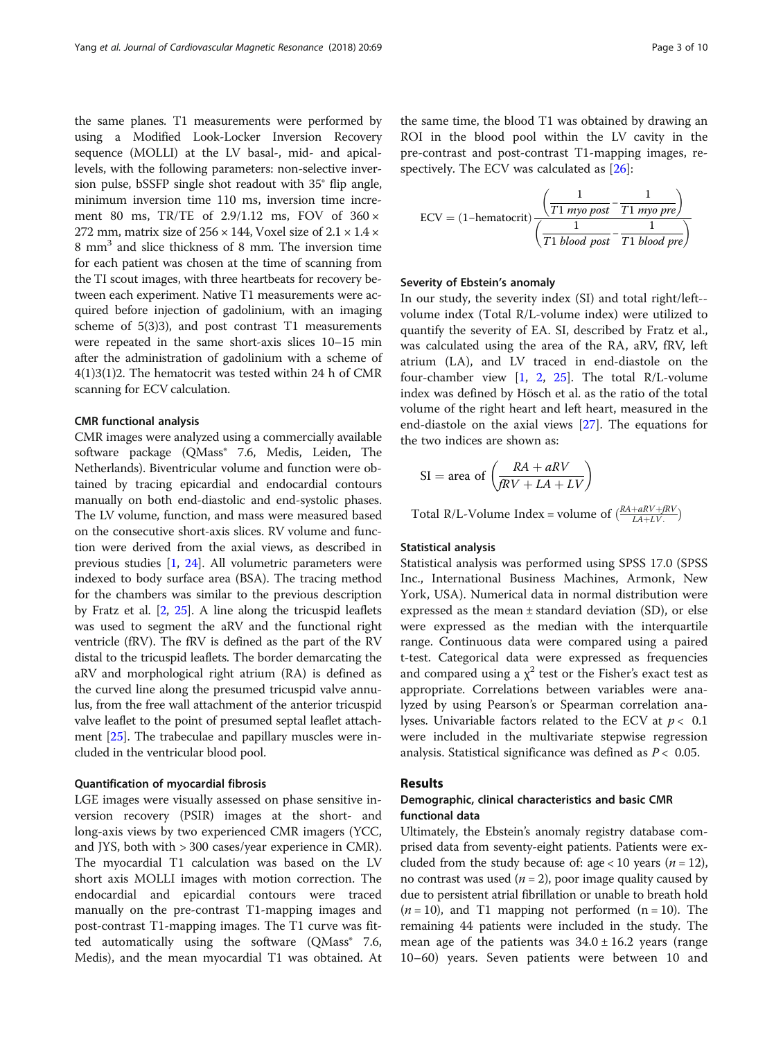the same planes. T1 measurements were performed by using a Modified Look-Locker Inversion Recovery sequence (MOLLI) at the LV basal-, mid- and apicallevels, with the following parameters: non-selective inversion pulse, bSSFP single shot readout with 35° flip angle, minimum inversion time 110 ms, inversion time increment 80 ms, TR/TE of  $2.9/1.12$  ms, FOV of  $360 \times$ 272 mm, matrix size of  $256 \times 144$ , Voxel size of  $2.1 \times 1.4 \times$ 8 mm3 and slice thickness of 8 mm. The inversion time for each patient was chosen at the time of scanning from the TI scout images, with three heartbeats for recovery between each experiment. Native T1 measurements were acquired before injection of gadolinium, with an imaging scheme of 5(3)3), and post contrast T1 measurements were repeated in the same short-axis slices 10–15 min after the administration of gadolinium with a scheme of 4(1)3(1)2. The hematocrit was tested within 24 h of CMR scanning for ECV calculation.

#### CMR functional analysis

CMR images were analyzed using a commercially available software package (QMass® 7.6, Medis, Leiden, The Netherlands). Biventricular volume and function were obtained by tracing epicardial and endocardial contours manually on both end-diastolic and end-systolic phases. The LV volume, function, and mass were measured based on the consecutive short-axis slices. RV volume and function were derived from the axial views, as described in previous studies [[1,](#page-8-0) [24](#page-8-0)]. All volumetric parameters were indexed to body surface area (BSA). The tracing method for the chambers was similar to the previous description by Fratz et al. [[2,](#page-8-0) [25](#page-8-0)]. A line along the tricuspid leaflets was used to segment the aRV and the functional right ventricle (fRV). The fRV is defined as the part of the RV distal to the tricuspid leaflets. The border demarcating the aRV and morphological right atrium (RA) is defined as the curved line along the presumed tricuspid valve annulus, from the free wall attachment of the anterior tricuspid valve leaflet to the point of presumed septal leaflet attachment [\[25\]](#page-8-0). The trabeculae and papillary muscles were included in the ventricular blood pool.

#### Quantification of myocardial fibrosis

LGE images were visually assessed on phase sensitive inversion recovery (PSIR) images at the short- and long-axis views by two experienced CMR imagers (YCC, and JYS, both with > 300 cases/year experience in CMR). The myocardial T1 calculation was based on the LV short axis MOLLI images with motion correction. The endocardial and epicardial contours were traced manually on the pre-contrast T1-mapping images and post-contrast T1-mapping images. The T1 curve was fitted automatically using the software  $(QMass^{\circ} 7.6,$ Medis), and the mean myocardial T1 was obtained. At the same time, the blood T1 was obtained by drawing an ROI in the blood pool within the LV cavity in the pre-contrast and post-contrast T1-mapping images, respectively. The ECV was calculated as [[26\]](#page-8-0):

$$
ECV = (1 - \text{hematorit}) \frac{\left(\frac{1}{T1 \text{ myo post}} - \frac{1}{T1 \text{ myo pre}}\right)}{\left(\frac{1}{T1 \text{ blood post}} - \frac{1}{T1 \text{ blood pre}}\right)}
$$

#### Severity of Ebstein's anomaly

In our study, the severity index (SI) and total right/left- volume index (Total R/L-volume index) were utilized to quantify the severity of EA. SI, described by Fratz et al., was calculated using the area of the RA, aRV, fRV, left atrium (LA), and LV traced in end-diastole on the four-chamber view  $[1, 2, 25]$  $[1, 2, 25]$  $[1, 2, 25]$  $[1, 2, 25]$  $[1, 2, 25]$  $[1, 2, 25]$  $[1, 2, 25]$ . The total R/L-volume index was defined by Hösch et al. as the ratio of the total volume of the right heart and left heart, measured in the end-diastole on the axial views [\[27](#page-8-0)]. The equations for the two indices are shown as:

SI = area of 
$$
\left(\frac{RA + aRV}{fRV + LA + LV}\right)
$$

Total R/L-Volume Index = volume of  $\left(\frac{RA + aRV + fRV}{LA + LV}\right)$ 

#### Statistical analysis

Statistical analysis was performed using SPSS 17.0 (SPSS Inc., International Business Machines, Armonk, New York, USA). Numerical data in normal distribution were expressed as the mean ± standard deviation (SD), or else were expressed as the median with the interquartile range. Continuous data were compared using a paired t-test. Categorical data were expressed as frequencies and compared using a  $\chi^2$  test or the Fisher's exact test as appropriate. Correlations between variables were analyzed by using Pearson's or Spearman correlation analyses. Univariable factors related to the ECV at  $p < 0.1$ were included in the multivariate stepwise regression analysis. Statistical significance was defined as  $P < 0.05$ .

## Results

## Demographic, clinical characteristics and basic CMR functional data

Ultimately, the Ebstein's anomaly registry database comprised data from seventy-eight patients. Patients were excluded from the study because of: age < 10 years ( $n = 12$ ), no contrast was used ( $n = 2$ ), poor image quality caused by due to persistent atrial fibrillation or unable to breath hold  $(n = 10)$ , and T1 mapping not performed  $(n = 10)$ . The remaining 44 patients were included in the study. The mean age of the patients was  $34.0 \pm 16.2$  years (range 10–60) years. Seven patients were between 10 and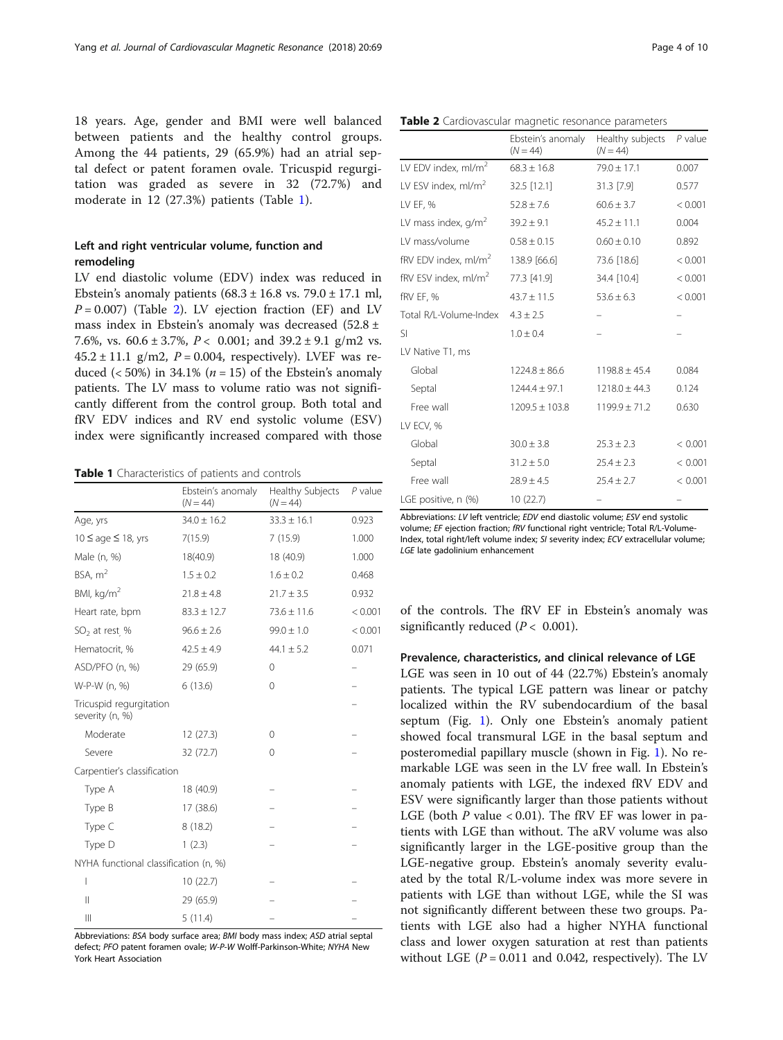## Left and right ventricular volume, function and remodeling

LV end diastolic volume (EDV) index was reduced in Ebstein's anomaly patients  $(68.3 \pm 16.8 \text{ vs. } 79.0 \pm 17.1 \text{ m}$  $P = 0.007$ ) (Table 2). LV ejection fraction (EF) and LV mass index in Ebstein's anomaly was decreased (52.8 ± 7.6%, vs.  $60.6 \pm 3.7$ %,  $P < 0.001$ ; and  $39.2 \pm 9.1$  g/m2 vs.  $45.2 \pm 11.1$  g/m2,  $P = 0.004$ , respectively). LVEF was reduced (< 50%) in 34.1% ( $n = 15$ ) of the Ebstein's anomaly patients. The LV mass to volume ratio was not significantly different from the control group. Both total and fRV EDV indices and RV end systolic volume (ESV) index were significantly increased compared with those

Table 1 Characteristics of patients and controls

|                                            | Ebstein's anomaly<br>$(N = 44)$ | Healthy Subjects<br>$(N = 44)$ | P value |
|--------------------------------------------|---------------------------------|--------------------------------|---------|
| Age, yrs                                   | $34.0 \pm 16.2$                 | $33.3 \pm 16.1$                | 0.923   |
| $10 \leq$ age $\leq 18$ , yrs              | 7(15.9)                         | 7(15.9)                        | 1.000   |
| Male (n, %)                                | 18(40.9)                        | 18 (40.9)                      | 1.000   |
| BSA, m <sup>2</sup>                        | $1.5 \pm 0.2$                   | $1.6 \pm 0.2$                  | 0.468   |
| BMI, $\text{kg/m}^2$                       | $21.8 \pm 4.8$                  | $21.7 \pm 3.5$                 | 0.932   |
| Heart rate, bpm                            | $83.3 \pm 12.7$                 | $73.6 \pm 11.6$                | < 0.001 |
| $SO2$ at rest %                            | $96.6 \pm 2.6$                  | $99.0 \pm 1.0$                 | < 0.001 |
| Hematocrit, %                              | $42.5 \pm 4.9$                  | $44.1 \pm 5.2$                 | 0.071   |
| ASD/PFO (n, %)                             | 29 (65.9)                       | $\Omega$                       |         |
| W-P-W (n, %)                               | 6(13.6)                         | 0                              |         |
| Tricuspid regurgitation<br>severity (n, %) |                                 |                                |         |
| Moderate                                   | 12(27.3)                        | 0                              |         |
| Severe                                     | 32 (72.7)                       | 0                              |         |
| Carpentier's classification                |                                 |                                |         |
| Type A                                     | 18 (40.9)                       |                                |         |
| Type B                                     | 17 (38.6)                       |                                |         |
| Type C                                     | 8(18.2)                         |                                |         |
| Type D                                     | 1(2.3)                          |                                |         |
| NYHA functional classification (n, %)      |                                 |                                |         |
| I                                          | 10 (22.7)                       |                                |         |
| $\mathsf{II}$                              | 29 (65.9)                       |                                |         |
| $\mathbb{H}$                               | 5(11.4)                         |                                |         |

Abbreviations: BSA body surface area; BMI body mass index; ASD atrial septal defect; PFO patent foramen ovale; W-P-W Wolff-Parkinson-White; NYHA New York Heart Association

Table 2 Cardiovascular magnetic resonance parameters

|                                  | Ebstein's anomaly<br>$(N = 44)$ | Healthy subjects<br>$(N = 44)$ | $P$ value |
|----------------------------------|---------------------------------|--------------------------------|-----------|
| LV EDV index, $ml/m2$            | $68.3 \pm 16.8$                 | $79.0 \pm 17.1$                | 0.007     |
| LV ESV index, ml/m <sup>2</sup>  | 32.5 [12.1]                     | 31.3 [7.9]                     | 0.577     |
| LV EF, %                         | $52.8 \pm 7.6$                  | $60.6 \pm 3.7$                 | < 0.001   |
| LV mass index, $g/m^2$           | $39.2 \pm 9.1$                  | $45.2 \pm 11.1$                | 0.004     |
| LV mass/volume                   | $0.58 \pm 0.15$                 | $0.60 + 0.10$                  | 0.892     |
| fRV EDV index, ml/m <sup>2</sup> | 138.9 [66.6]                    | 73.6 [18.6]                    | < 0.001   |
| fRV ESV index, ml/m <sup>2</sup> | 77.3 [41.9]                     | 34.4 [10.4]                    | < 0.001   |
| fRV EF, %                        | $43.7 \pm 11.5$                 | $53.6 \pm 6.3$                 | < 0.001   |
| Total R/L-Volume-Index           | $4.3 \pm 2.5$                   | -                              |           |
| <b>SI</b>                        | $1.0 \pm 0.4$                   |                                |           |
| LV Native T1, ms                 |                                 |                                |           |
| Global                           | $1224.8 \pm 86.6$               | $1198.8 \pm 45.4$              | 0.084     |
| Septal                           | $1244.4 + 97.1$                 | $1218.0 \pm 44.3$              | 0.124     |
| Free wall                        | $1209.5 \pm 103.8$              | $1199.9 \pm 71.2$              | 0.630     |
| LV ECV, %                        |                                 |                                |           |
| Global                           | $30.0 \pm 3.8$                  | $25.3 \pm 2.3$                 | < 0.001   |
| Septal                           | $31.2 \pm 5.0$                  | $25.4 \pm 2.3$                 | < 0.001   |
| Free wall                        | $28.9 \pm 4.5$                  | $25.4 \pm 2.7$                 | < 0.001   |
| LGE positive, n (%)              | 10(22.7)                        |                                |           |

Abbreviations: LV left ventricle; EDV end diastolic volume; ESV end systolic volume: EF ejection fraction: fRV functional right ventricle: Total R/L-Volume Index, total right/left volume index; SI severity index; ECV extracellular volume; LGE late gadolinium enhancement

of the controls. The fRV EF in Ebstein's anomaly was significantly reduced  $(P < 0.001)$ .

## Prevalence, characteristics, and clinical relevance of LGE

LGE was seen in 10 out of 44 (22.7%) Ebstein's anomaly patients. The typical LGE pattern was linear or patchy localized within the RV subendocardium of the basal septum (Fig. [1\)](#page-4-0). Only one Ebstein's anomaly patient showed focal transmural LGE in the basal septum and posteromedial papillary muscle (shown in Fig. [1\)](#page-4-0). No remarkable LGE was seen in the LV free wall. In Ebstein's anomaly patients with LGE, the indexed fRV EDV and ESV were significantly larger than those patients without LGE (both  $P$  value < 0.01). The fRV EF was lower in patients with LGE than without. The aRV volume was also significantly larger in the LGE-positive group than the LGE-negative group. Ebstein's anomaly severity evaluated by the total R/L-volume index was more severe in patients with LGE than without LGE, while the SI was not significantly different between these two groups. Patients with LGE also had a higher NYHA functional class and lower oxygen saturation at rest than patients without LGE  $(P = 0.011$  and 0.042, respectively). The LV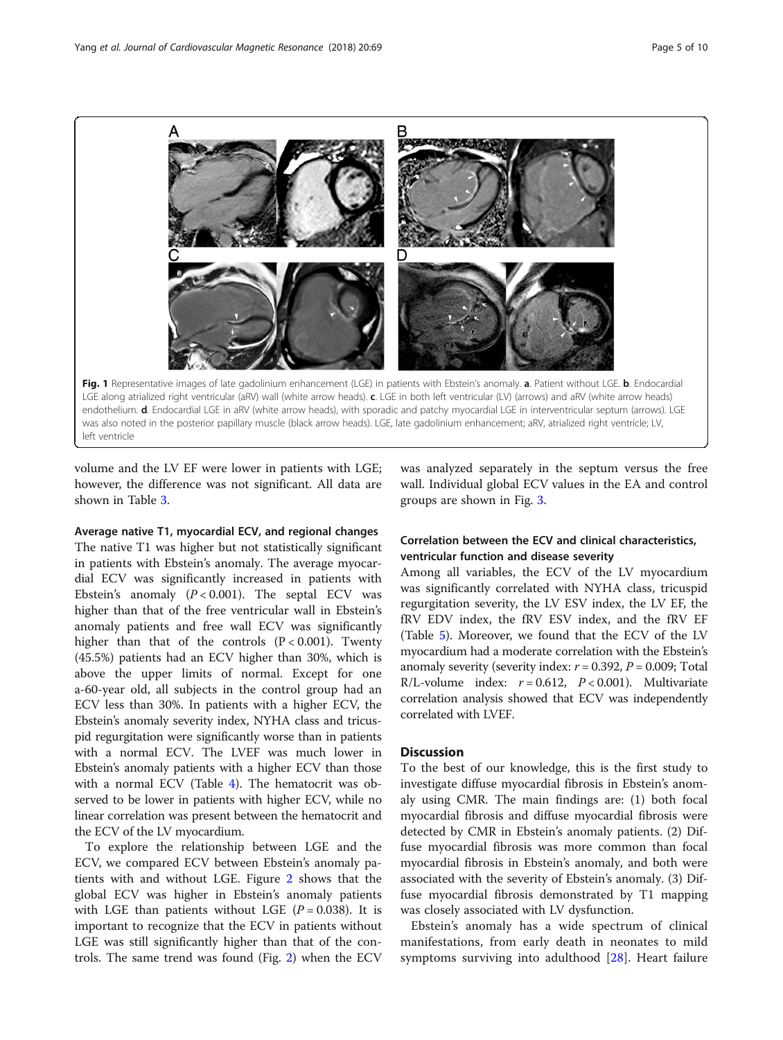<span id="page-4-0"></span>

volume and the LV EF were lower in patients with LGE; however, the difference was not significant. All data are shown in Table [3.](#page-5-0)

## Average native T1, myocardial ECV, and regional changes

The native T1 was higher but not statistically significant in patients with Ebstein's anomaly. The average myocardial ECV was significantly increased in patients with Ebstein's anomaly  $(P < 0.001)$ . The septal ECV was higher than that of the free ventricular wall in Ebstein's anomaly patients and free wall ECV was significantly higher than that of the controls  $(P < 0.001)$ . Twenty (45.5%) patients had an ECV higher than 30%, which is above the upper limits of normal. Except for one a-60-year old, all subjects in the control group had an ECV less than 30%. In patients with a higher ECV, the Ebstein's anomaly severity index, NYHA class and tricuspid regurgitation were significantly worse than in patients with a normal ECV. The LVEF was much lower in Ebstein's anomaly patients with a higher ECV than those with a normal ECV (Table [4](#page-5-0)). The hematocrit was observed to be lower in patients with higher ECV, while no linear correlation was present between the hematocrit and the ECV of the LV myocardium.

To explore the relationship between LGE and the ECV, we compared ECV between Ebstein's anomaly patients with and without LGE. Figure [2](#page-5-0) shows that the global ECV was higher in Ebstein's anomaly patients with LGE than patients without LGE  $(P = 0.038)$ . It is important to recognize that the ECV in patients without LGE was still significantly higher than that of the controls. The same trend was found (Fig. [2\)](#page-5-0) when the ECV

was analyzed separately in the septum versus the free wall. Individual global ECV values in the EA and control groups are shown in Fig. [3.](#page-6-0)

## Correlation between the ECV and clinical characteristics, ventricular function and disease severity

Among all variables, the ECV of the LV myocardium was significantly correlated with NYHA class, tricuspid regurgitation severity, the LV ESV index, the LV EF, the fRV EDV index, the fRV ESV index, and the fRV EF (Table [5](#page-6-0)). Moreover, we found that the ECV of the LV myocardium had a moderate correlation with the Ebstein's anomaly severity (severity index:  $r = 0.392$ ,  $P = 0.009$ ; Total R/L-volume index:  $r = 0.612$ ,  $P < 0.001$ ). Multivariate correlation analysis showed that ECV was independently correlated with LVEF.

## **Discussion**

To the best of our knowledge, this is the first study to investigate diffuse myocardial fibrosis in Ebstein's anomaly using CMR. The main findings are: (1) both focal myocardial fibrosis and diffuse myocardial fibrosis were detected by CMR in Ebstein's anomaly patients. (2) Diffuse myocardial fibrosis was more common than focal myocardial fibrosis in Ebstein's anomaly, and both were associated with the severity of Ebstein's anomaly. (3) Diffuse myocardial fibrosis demonstrated by T1 mapping was closely associated with LV dysfunction.

Ebstein's anomaly has a wide spectrum of clinical manifestations, from early death in neonates to mild symptoms surviving into adulthood [[28\]](#page-8-0). Heart failure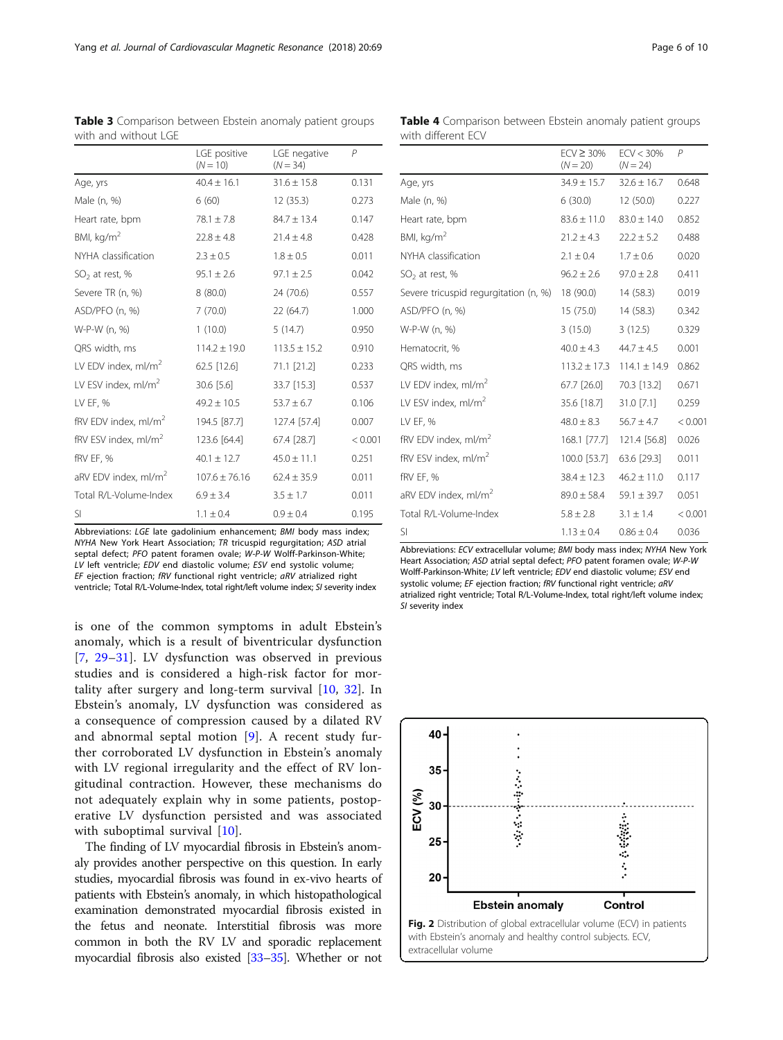Abbreviations: LGE late gadolinium enhancement; BMI body mass index; NYHA New York Heart Association; TR tricuspid regurgitation; ASD atrial septal defect; PFO patent foramen ovale; W-P-W Wolff-Parkinson-White; LV left ventricle; EDV end diastolic volume; ESV end systolic volume; EF ejection fraction; fRV functional right ventricle; aRV atrialized right ventricle; Total R/L-Volume-Index, total right/left volume index; SI severity index

is one of the common symptoms in adult Ebstein's anomaly, which is a result of biventricular dysfunction [[7,](#page-8-0) [29](#page-8-0)–[31](#page-8-0)]. LV dysfunction was observed in previous studies and is considered a high-risk factor for mortality after surgery and long-term survival [\[10](#page-8-0), [32\]](#page-8-0). In Ebstein's anomaly, LV dysfunction was considered as a consequence of compression caused by a dilated RV and abnormal septal motion [[9\]](#page-8-0). A recent study further corroborated LV dysfunction in Ebstein's anomaly with LV regional irregularity and the effect of RV longitudinal contraction. However, these mechanisms do not adequately explain why in some patients, postoperative LV dysfunction persisted and was associated with suboptimal survival [[10\]](#page-8-0).

The finding of LV myocardial fibrosis in Ebstein's anomaly provides another perspective on this question. In early studies, myocardial fibrosis was found in ex-vivo hearts of patients with Ebstein's anomaly, in which histopathological examination demonstrated myocardial fibrosis existed in the fetus and neonate. Interstitial fibrosis was more common in both the RV LV and sporadic replacement myocardial fibrosis also existed [[33](#page-8-0)–[35](#page-8-0)]. Whether or not

Abbreviations: ECV extracellular volume; BMI body mass index; NYHA New York Heart Association; ASD atrial septal defect; PFO patent foramen ovale; W-P-W Wolff-Parkinson-White; LV left ventricle; EDV end diastolic volume; ESV end systolic volume; EF ejection fraction; fRV functional right ventricle: aRV atrialized right ventricle; Total R/L-Volume-Index, total right/left volume index; SI severity index

| Table 4 Comparison between Ebstein anomaly patient groups |  |  |  |
|-----------------------------------------------------------|--|--|--|
| with different ECV                                        |  |  |  |

|                                       | $ECV \geq 30\%$<br>$(N = 20)$ | $ECV < 30\%$<br>$(N = 24)$ | P       |
|---------------------------------------|-------------------------------|----------------------------|---------|
| Age, yrs                              | $34.9 \pm 15.7$               | $32.6 + 16.7$              | 0.648   |
| Male (n, %)                           | 6(30.0)                       | 12(50.0)                   | 0.227   |
| Heart rate, bpm                       | $83.6 \pm 11.0$               | $83.0 \pm 14.0$            | 0.852   |
| BMI, kg/m <sup>2</sup>                | $21.2 \pm 4.3$                | $22.2 \pm 5.2$             | 0.488   |
| NYHA classification                   | $2.1 \pm 0.4$                 | $1.7 \pm 0.6$              | 0.020   |
| $SO2$ at rest, %                      | $96.2 \pm 2.6$                | $97.0 \pm 2.8$             | 0.411   |
| Severe tricuspid regurgitation (n, %) | 18 (90.0)                     | 14 (58.3)                  | 0.019   |
| ASD/PFO (n, %)                        | 15 (75.0)                     | 14 (58.3)                  | 0.342   |
| W-P-W (n. %)                          | 3(15.0)                       | 3(12.5)                    | 0.329   |
| Hematocrit, %                         | $40.0 \pm 4.3$                | $44.7 \pm 4.5$             | 0.001   |
| QRS width, ms                         | $113.2 \pm 17.3$              | $114.1 \pm 14.9$           | 0.862   |
| LV EDV index, ml/m <sup>2</sup>       | 67.7 [26.0]                   | 70.3 [13.2]                | 0.671   |
| LV ESV index, $ml/m2$                 | 35.6 [18.7]                   | 31.0 [7.1]                 | 0.259   |
| LV EF, %                              | $48.0 \pm 8.3$                | $56.7 \pm 4.7$             | < 0.001 |
| $fRV$ EDV index, ml/m <sup>2</sup>    | 168.1 [77.7]                  | 121.4 [56.8]               | 0.026   |
| fRV ESV index, ml/m <sup>2</sup>      | 100.0 [53.7]                  | 63.6 [29.3]                | 0.011   |
| fRV EF, %                             | $38.4 \pm 12.3$               | $46.2 \pm 11.0$            | 0.117   |
| aRV EDV index, ml/m <sup>2</sup>      | $89.0 \pm 58.4$               | $59.1 \pm 39.7$            | 0.051   |
| Total R/L-Volume-Index                | $5.8 \pm 2.8$                 | $3.1 \pm 1.4$              | < 0.001 |
| SI.                                   | $1.13 \pm 0.4$                | $0.86 \pm 0.4$             | 0.036   |

<span id="page-5-0"></span>Table 3 Comparison between Ebstein anomaly patient groups

LGE positive  $(N = 10)$ 

Age, yrs  $40.4 \pm 16.1$   $31.6 \pm 15.8$  0.131 Male (n, %) 6 (60) 12 (35.3) 0.273 Heart rate, bpm  $78.1 \pm 7.8$   $84.7 \pm 13.4$  0.147 BMI, kg/m<sup>2</sup> 22.8 ± 4.8 21.4 ± 4.8 0.428 NYHA classification  $2.3 \pm 0.5$   $1.8 \pm 0.5$  0.011  $SO_2$  at rest, % 95.1 ± 2.6 97.1 ± 2.5 0.042 Severe TR (n, %) 8 (80.0) 24 (70.6) 0.557 ASD/PFO (n, %)  $7(70.0)$  22 (64.7) 1.000 W-P-W (n, %) 1 (10.0) 5 (14.7) 0.950 QRS width, ms  $114.2 \pm 19.0$   $113.5 \pm 15.2$  0.910 LV EDV index, ml/m<sup>2</sup> 62.5 [12.6] 71.1 [21.2] 0.233 LV ESV index, ml/m<sup>2</sup> 30.6 [5.6] 33.7 [15.3] 0.537 LV EF, % 49.2 ± 10.5 53.7 ± 6.7 0.106 fRV EDV index, ml/m<sup>2</sup> 194.5 [87.7] 127.4 [57.4] 0.007 fRV ESV index, ml/m<sup>2</sup> 123.6 [64.4] 67.4 [28.7]  $< 0.001$ fRV EF, % 40.1  $\pm$  12.7 45.0  $\pm$  11.1 0.251 aRV EDV index, ml/m<sup>2</sup>  $107.6 \pm 76.16$   $62.4 \pm 35.9$  0.011 Total R/L-Volume-Index  $6.9 \pm 3.4$   $3.5 \pm 1.7$  0.011 SI  $1.1 \pm 0.4$   $0.9 \pm 0.4$  0.195

LGE negative  $(N = 34)$ 

P

with and without LGE

| Page 6 of 10 |  |  |  |
|--------------|--|--|--|
|--------------|--|--|--|

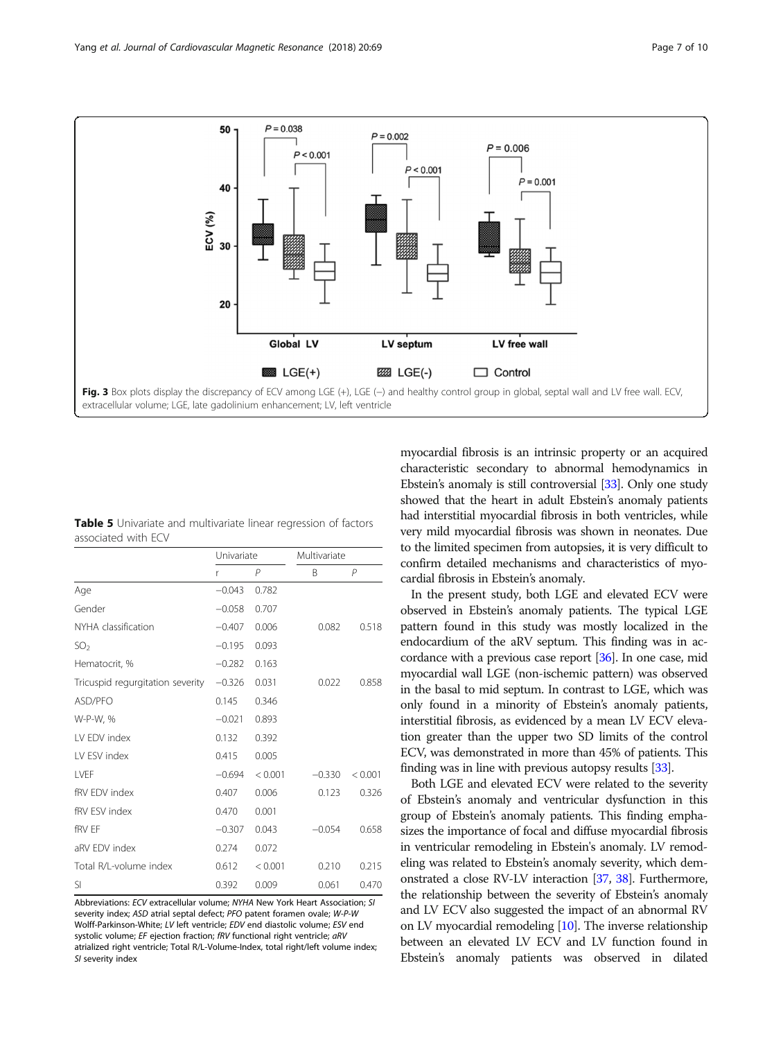<span id="page-6-0"></span>

| <b>Table 5</b> Univariate and multivariate linear regression of factors |  |  |  |
|-------------------------------------------------------------------------|--|--|--|
| associated with ECV                                                     |  |  |  |

|                                  | Univariate |         | Multivariate |         |
|----------------------------------|------------|---------|--------------|---------|
|                                  | r          | P       | B            | P       |
| Age                              | $-0.043$   | 0.782   |              |         |
| Gender                           | $-0.058$   | 0.707   |              |         |
| NYHA classification              | $-0.407$   | 0.006   | 0.082        | 0.518   |
| SO <sub>2</sub>                  | $-0.195$   | 0.093   |              |         |
| Hematocrit, %                    | $-0.282$   | 0.163   |              |         |
| Tricuspid regurgitation severity | $-0.326$   | 0.031   | 0.022        | 0.858   |
| ASD/PFO                          | 0.145      | 0.346   |              |         |
| W-P-W, %                         | $-0.021$   | 0.893   |              |         |
| IV FDV index                     | 0.132      | 0.392   |              |         |
| <b>IV FSV index</b>              | 0.415      | 0.005   |              |         |
| I VFF                            | $-0.694$   | < 0.001 | $-0.330$     | < 0.001 |
| fRV EDV index                    | 0.407      | 0.006   | 0.123        | 0.326   |
| fRV ESV index                    | 0.470      | 0.001   |              |         |
| <b>fRV FF</b>                    | $-0.307$   | 0.043   | $-0.054$     | 0.658   |
| aRV FDV index                    | 0.274      | 0.072   |              |         |
| Total R/L-volume index           | 0.612      | < 0.001 | 0.210        | 0.215   |
| <b>SI</b>                        | 0.392      | 0.009   | 0.061        | 0.470   |

Abbreviations: ECV extracellular volume; NYHA New York Heart Association; SI severity index; ASD atrial septal defect; PFO patent foramen ovale; W-P-W Wolff-Parkinson-White; LV left ventricle; EDV end diastolic volume; ESV end systolic volume; EF ejection fraction; fRV functional right ventricle; aRV atrialized right ventricle: Total R/L-Volume-Index, total right/left volume index: SI severity index

myocardial fibrosis is an intrinsic property or an acquired characteristic secondary to abnormal hemodynamics in Ebstein's anomaly is still controversial [\[33](#page-8-0)]. Only one study showed that the heart in adult Ebstein's anomaly patients had interstitial myocardial fibrosis in both ventricles, while very mild myocardial fibrosis was shown in neonates. Due to the limited specimen from autopsies, it is very difficult to confirm detailed mechanisms and characteristics of myocardial fibrosis in Ebstein's anomaly.

In the present study, both LGE and elevated ECV were observed in Ebstein's anomaly patients. The typical LGE pattern found in this study was mostly localized in the endocardium of the aRV septum. This finding was in accordance with a previous case report [[36](#page-8-0)]. In one case, mid myocardial wall LGE (non-ischemic pattern) was observed in the basal to mid septum. In contrast to LGE, which was only found in a minority of Ebstein's anomaly patients, interstitial fibrosis, as evidenced by a mean LV ECV elevation greater than the upper two SD limits of the control ECV, was demonstrated in more than 45% of patients. This finding was in line with previous autopsy results [\[33\]](#page-8-0).

Both LGE and elevated ECV were related to the severity of Ebstein's anomaly and ventricular dysfunction in this group of Ebstein's anomaly patients. This finding emphasizes the importance of focal and diffuse myocardial fibrosis in ventricular remodeling in Ebstein's anomaly. LV remodeling was related to Ebstein's anomaly severity, which demonstrated a close RV-LV interaction [[37](#page-8-0), [38](#page-8-0)]. Furthermore, the relationship between the severity of Ebstein's anomaly and LV ECV also suggested the impact of an abnormal RV on LV myocardial remodeling [\[10\]](#page-8-0). The inverse relationship between an elevated LV ECV and LV function found in Ebstein's anomaly patients was observed in dilated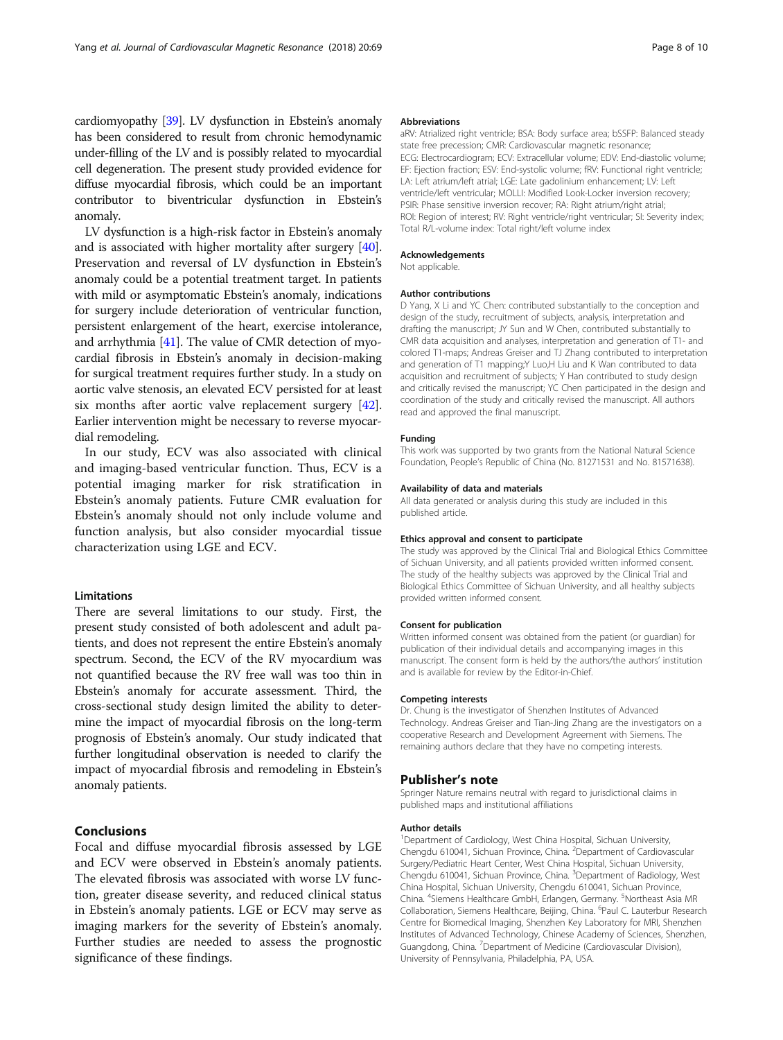cardiomyopathy [\[39\]](#page-8-0). LV dysfunction in Ebstein's anomaly has been considered to result from chronic hemodynamic under-filling of the LV and is possibly related to myocardial cell degeneration. The present study provided evidence for diffuse myocardial fibrosis, which could be an important contributor to biventricular dysfunction in Ebstein's anomaly.

LV dysfunction is a high-risk factor in Ebstein's anomaly and is associated with higher mortality after surgery [[40](#page-8-0)]. Preservation and reversal of LV dysfunction in Ebstein's anomaly could be a potential treatment target. In patients with mild or asymptomatic Ebstein's anomaly, indications for surgery include deterioration of ventricular function, persistent enlargement of the heart, exercise intolerance, and arrhythmia [\[41\]](#page-9-0). The value of CMR detection of myocardial fibrosis in Ebstein's anomaly in decision-making for surgical treatment requires further study. In a study on aortic valve stenosis, an elevated ECV persisted for at least six months after aortic valve replacement surgery [[42](#page-9-0)]. Earlier intervention might be necessary to reverse myocardial remodeling.

In our study, ECV was also associated with clinical and imaging-based ventricular function. Thus, ECV is a potential imaging marker for risk stratification in Ebstein's anomaly patients. Future CMR evaluation for Ebstein's anomaly should not only include volume and function analysis, but also consider myocardial tissue characterization using LGE and ECV.

## Limitations

There are several limitations to our study. First, the present study consisted of both adolescent and adult patients, and does not represent the entire Ebstein's anomaly spectrum. Second, the ECV of the RV myocardium was not quantified because the RV free wall was too thin in Ebstein's anomaly for accurate assessment. Third, the cross-sectional study design limited the ability to determine the impact of myocardial fibrosis on the long-term prognosis of Ebstein's anomaly. Our study indicated that further longitudinal observation is needed to clarify the impact of myocardial fibrosis and remodeling in Ebstein's anomaly patients.

#### Conclusions

Focal and diffuse myocardial fibrosis assessed by LGE and ECV were observed in Ebstein's anomaly patients. The elevated fibrosis was associated with worse LV function, greater disease severity, and reduced clinical status in Ebstein's anomaly patients. LGE or ECV may serve as imaging markers for the severity of Ebstein's anomaly. Further studies are needed to assess the prognostic significance of these findings.

#### Abbreviations

aRV: Atrialized right ventricle; BSA: Body surface area; bSSFP: Balanced steady state free precession; CMR: Cardiovascular magnetic resonance; ECG: Electrocardiogram; ECV: Extracellular volume; EDV: End-diastolic volume; EF: Ejection fraction; ESV: End-systolic volume; fRV: Functional right ventricle; LA: Left atrium/left atrial; LGE: Late gadolinium enhancement; LV: Left ventricle/left ventricular; MOLLI: Modified Look-Locker inversion recovery; PSIR: Phase sensitive inversion recover; RA: Right atrium/right atrial; ROI: Region of interest; RV: Right ventricle/right ventricular; SI: Severity index; Total R/L-volume index: Total right/left volume index

#### Acknowledgements

Not applicable.

#### Author contributions

D Yang, X Li and YC Chen: contributed substantially to the conception and design of the study, recruitment of subjects, analysis, interpretation and drafting the manuscript; JY Sun and W Chen, contributed substantially to CMR data acquisition and analyses, interpretation and generation of T1- and colored T1-maps; Andreas Greiser and TJ Zhang contributed to interpretation and generation of T1 mapping;Y Luo,H Liu and K Wan contributed to data acquisition and recruitment of subjects; Y Han contributed to study design and critically revised the manuscript; YC Chen participated in the design and coordination of the study and critically revised the manuscript. All authors read and approved the final manuscript.

#### Funding

This work was supported by two grants from the National Natural Science Foundation, People's Republic of China (No. 81271531 and No. 81571638).

#### Availability of data and materials

All data generated or analysis during this study are included in this published article.

#### Ethics approval and consent to participate

The study was approved by the Clinical Trial and Biological Ethics Committee of Sichuan University, and all patients provided written informed consent. The study of the healthy subjects was approved by the Clinical Trial and Biological Ethics Committee of Sichuan University, and all healthy subjects provided written informed consent.

#### Consent for publication

Written informed consent was obtained from the patient (or guardian) for publication of their individual details and accompanying images in this manuscript. The consent form is held by the authors/the authors' institution and is available for review by the Editor-in-Chief.

#### Competing interests

Dr. Chung is the investigator of Shenzhen Institutes of Advanced Technology. Andreas Greiser and Tian-Jing Zhang are the investigators on a cooperative Research and Development Agreement with Siemens. The remaining authors declare that they have no competing interests.

#### Publisher's note

Springer Nature remains neutral with regard to jurisdictional claims in published maps and institutional affiliations

### Author details

<sup>1</sup> Department of Cardiology, West China Hospital, Sichuan University, Chengdu 610041, Sichuan Province, China. <sup>2</sup>Department of Cardiovascular Surgery/Pediatric Heart Center, West China Hospital, Sichuan University, Chengdu 610041, Sichuan Province, China. <sup>3</sup>Department of Radiology, West China Hospital, Sichuan University, Chengdu 610041, Sichuan Province, China. <sup>4</sup> Siemens Healthcare GmbH, Erlangen, Germany. <sup>5</sup> Northeast Asia MR Collaboration, Siemens Healthcare, Beijing, China. <sup>6</sup>Paul C. Lauterbur Research Centre for Biomedical Imaging, Shenzhen Key Laboratory for MRI, Shenzhen Institutes of Advanced Technology, Chinese Academy of Sciences, Shenzhen, Guangdong, China. <sup>7</sup>Department of Medicine (Cardiovascular Division) University of Pennsylvania, Philadelphia, PA, USA.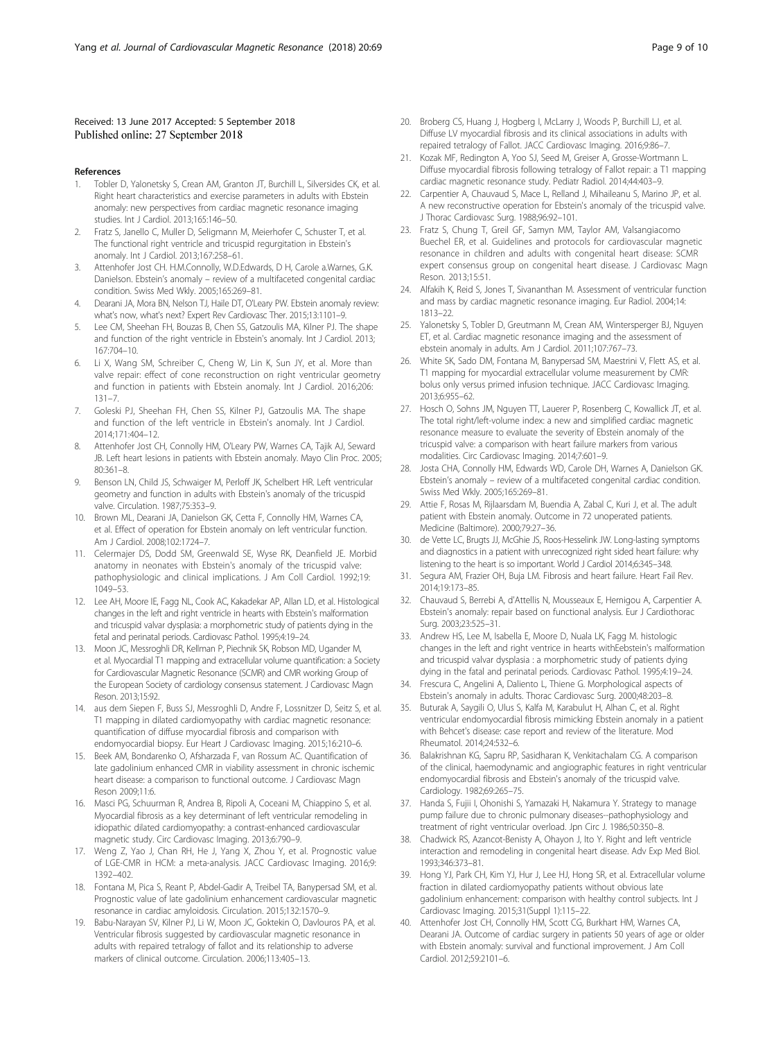#### <span id="page-8-0"></span>Received: 13 June 2017 Accepted: 5 September 2018 Published online: 27 September 2018

#### References

- 1. Tobler D, Yalonetsky S, Crean AM, Granton JT, Burchill L, Silversides CK, et al. Right heart characteristics and exercise parameters in adults with Ebstein anomaly: new perspectives from cardiac magnetic resonance imaging studies. Int J Cardiol. 2013;165:146–50.
- 2. Fratz S, Janello C, Muller D, Seligmann M, Meierhofer C, Schuster T, et al. The functional right ventricle and tricuspid regurgitation in Ebstein's anomaly. Int J Cardiol. 2013;167:258–61.
- 3. Attenhofer Jost CH. H.M.Connolly, W.D.Edwards, D H, Carole a.Warnes, G.K. Danielson. Ebstein's anomaly – review of a multifaceted congenital cardiac condition. Swiss Med Wkly. 2005;165:269–81.
- 4. Dearani JA, Mora BN, Nelson TJ, Haile DT, O'Leary PW. Ebstein anomaly review: what's now, what's next? Expert Rev Cardiovasc Ther. 2015;13:1101–9.
- 5. Lee CM, Sheehan FH, Bouzas B, Chen SS, Gatzoulis MA, Kilner PJ. The shape and function of the right ventricle in Ebstein's anomaly. Int J Cardiol. 2013; 167:704–10.
- 6. Li X, Wang SM, Schreiber C, Cheng W, Lin K, Sun JY, et al. More than valve repair: effect of cone reconstruction on right ventricular geometry and function in patients with Ebstein anomaly. Int J Cardiol. 2016;206: 131–7.
- 7. Goleski PJ, Sheehan FH, Chen SS, Kilner PJ, Gatzoulis MA. The shape and function of the left ventricle in Ebstein's anomaly. Int J Cardiol. 2014;171:404–12.
- 8. Attenhofer Jost CH, Connolly HM, O'Leary PW, Warnes CA, Tajik AJ, Seward JB. Left heart lesions in patients with Ebstein anomaly. Mayo Clin Proc. 2005; 80:361–8.
- 9. Benson LN, Child JS, Schwaiger M, Perloff JK, Schelbert HR. Left ventricular geometry and function in adults with Ebstein's anomaly of the tricuspid valve. Circulation. 1987;75:353–9.
- 10. Brown ML, Dearani JA, Danielson GK, Cetta F, Connolly HM, Warnes CA, et al. Effect of operation for Ebstein anomaly on left ventricular function. Am J Cardiol. 2008;102:1724–7.
- 11. Celermajer DS, Dodd SM, Greenwald SE, Wyse RK, Deanfield JE. Morbid anatomy in neonates with Ebstein's anomaly of the tricuspid valve: pathophysiologic and clinical implications. J Am Coll Cardiol. 1992;19: 1049–53.
- 12. Lee AH, Moore IE, Fagg NL, Cook AC, Kakadekar AP, Allan LD, et al. Histological changes in the left and right ventricle in hearts with Ebstein's malformation and tricuspid valvar dysplasia: a morphometric study of patients dying in the fetal and perinatal periods. Cardiovasc Pathol. 1995;4:19–24.
- 13. Moon JC, Messroghli DR, Kellman P, Piechnik SK, Robson MD, Ugander M, et al. Myocardial T1 mapping and extracellular volume quantification: a Society for Cardiovascular Magnetic Resonance (SCMR) and CMR working Group of the European Society of cardiology consensus statement. J Cardiovasc Magn Reson. 2013;15:92.
- 14. aus dem Siepen F, Buss SJ, Messroghli D, Andre F, Lossnitzer D, Seitz S, et al. T1 mapping in dilated cardiomyopathy with cardiac magnetic resonance: quantification of diffuse myocardial fibrosis and comparison with endomyocardial biopsy. Eur Heart J Cardiovasc Imaging. 2015;16:210–6.
- 15. Beek AM, Bondarenko O, Afsharzada F, van Rossum AC. Quantification of late gadolinium enhanced CMR in viability assessment in chronic ischemic heart disease: a comparison to functional outcome. J Cardiovasc Magn Reson 2009;11:6.
- 16. Masci PG, Schuurman R, Andrea B, Ripoli A, Coceani M, Chiappino S, et al. Myocardial fibrosis as a key determinant of left ventricular remodeling in idiopathic dilated cardiomyopathy: a contrast-enhanced cardiovascular magnetic study. Circ Cardiovasc Imaging. 2013;6:790–9.
- 17. Weng Z, Yao J, Chan RH, He J, Yang X, Zhou Y, et al. Prognostic value of LGE-CMR in HCM: a meta-analysis. JACC Cardiovasc Imaging. 2016;9: 1392–402.
- 18. Fontana M, Pica S, Reant P, Abdel-Gadir A, Treibel TA, Banypersad SM, et al. Prognostic value of late gadolinium enhancement cardiovascular magnetic resonance in cardiac amyloidosis. Circulation. 2015;132:1570–9.
- 19. Babu-Narayan SV, Kilner PJ, Li W, Moon JC, Goktekin O, Davlouros PA, et al. Ventricular fibrosis suggested by cardiovascular magnetic resonance in adults with repaired tetralogy of fallot and its relationship to adverse markers of clinical outcome. Circulation. 2006;113:405–13.
- 20. Broberg CS, Huang J, Hogberg I, McLarry J, Woods P, Burchill LJ, et al. Diffuse LV myocardial fibrosis and its clinical associations in adults with repaired tetralogy of Fallot. JACC Cardiovasc Imaging. 2016;9:86–7.
- 21. Kozak MF, Redington A, Yoo SJ, Seed M, Greiser A, Grosse-Wortmann L. Diffuse myocardial fibrosis following tetralogy of Fallot repair: a T1 mapping cardiac magnetic resonance study. Pediatr Radiol. 2014;44:403–9.
- 22. Carpentier A, Chauvaud S, Mace L, Relland J, Mihaileanu S, Marino JP, et al. A new reconstructive operation for Ebstein's anomaly of the tricuspid valve. J Thorac Cardiovasc Surg. 1988;96:92–101.
- 23. Fratz S, Chung T, Greil GF, Samyn MM, Taylor AM, Valsangiacomo Buechel ER, et al. Guidelines and protocols for cardiovascular magnetic resonance in children and adults with congenital heart disease: SCMR expert consensus group on congenital heart disease. J Cardiovasc Magn Reson. 2013;15:51.
- 24. Alfakih K, Reid S, Jones T, Sivananthan M. Assessment of ventricular function and mass by cardiac magnetic resonance imaging. Eur Radiol. 2004;14: 1813–22.
- 25. Yalonetsky S, Tobler D, Greutmann M, Crean AM, Wintersperger BJ, Nguyen ET, et al. Cardiac magnetic resonance imaging and the assessment of ebstein anomaly in adults. Am J Cardiol. 2011;107:767–73.
- 26. White SK, Sado DM, Fontana M, Banypersad SM, Maestrini V, Flett AS, et al. T1 mapping for myocardial extracellular volume measurement by CMR: bolus only versus primed infusion technique. JACC Cardiovasc Imaging. 2013;6:955–62.
- 27. Hosch O, Sohns JM, Nguyen TT, Lauerer P, Rosenberg C, Kowallick JT, et al. The total right/left-volume index: a new and simplified cardiac magnetic resonance measure to evaluate the severity of Ebstein anomaly of the tricuspid valve: a comparison with heart failure markers from various modalities. Circ Cardiovasc Imaging. 2014;7:601–9.
- 28. Josta CHA, Connolly HM, Edwards WD, Carole DH, Warnes A, Danielson GK. Ebstein's anomaly – review of a multifaceted congenital cardiac condition. Swiss Med Wkly. 2005;165:269–81.
- 29. Attie F, Rosas M, Rijlaarsdam M, Buendia A, Zabal C, Kuri J, et al. The adult patient with Ebstein anomaly. Outcome in 72 unoperated patients. Medicine (Baltimore). 2000;79:27–36.
- 30. de Vette LC, Brugts JJ, McGhie JS, Roos-Hesselink JW. Long-lasting symptoms and diagnostics in a patient with unrecognized right sided heart failure: why listening to the heart is so important. World J Cardiol 2014;6:345–348.
- 31. Segura AM, Frazier OH, Buja LM. Fibrosis and heart failure. Heart Fail Rev. 2014;19:173–85.
- 32. Chauvaud S, Berrebi A, d'Attellis N, Mousseaux E, Hernigou A, Carpentier A. Ebstein's anomaly: repair based on functional analysis. Eur J Cardiothorac Surg. 2003;23:525–31.
- 33. Andrew HS, Lee M, Isabella E, Moore D, Nuala LK, Fagg M. histologic changes in the left and right ventrice in hearts withEebstein's malformation and tricuspid valvar dysplasia : a morphometric study of patients dying dying in the fatal and perinatal periods. Cardiovasc Pathol. 1995;4:19–24.
- 34. Frescura C, Angelini A, Daliento L, Thiene G. Morphological aspects of Ebstein's anomaly in adults. Thorac Cardiovasc Surg. 2000;48:203–8.
- 35. Buturak A, Saygili O, Ulus S, Kalfa M, Karabulut H, Alhan C, et al. Right ventricular endomyocardial fibrosis mimicking Ebstein anomaly in a patient with Behcet's disease: case report and review of the literature. Mod Rheumatol. 2014;24:532–6.
- 36. Balakrishnan KG, Sapru RP, Sasidharan K, Venkitachalam CG. A comparison of the clinical, haemodynamic and angiographic features in right ventricular endomyocardial fibrosis and Ebstein's anomaly of the tricuspid valve. Cardiology. 1982;69:265–75.
- 37. Handa S, Fujii I, Ohonishi S, Yamazaki H, Nakamura Y. Strategy to manage pump failure due to chronic pulmonary diseases--pathophysiology and treatment of right ventricular overload. Jpn Circ J. 1986;50:350–8.
- 38. Chadwick RS, Azancot-Benisty A, Ohayon J, Ito Y. Right and left ventricle interaction and remodeling in congenital heart disease. Adv Exp Med Biol. 1993;346:373–81.
- 39. Hong YJ, Park CH, Kim YJ, Hur J, Lee HJ, Hong SR, et al. Extracellular volume fraction in dilated cardiomyopathy patients without obvious late gadolinium enhancement: comparison with healthy control subjects. Int J Cardiovasc Imaging. 2015;31(Suppl 1):115–22.
- 40. Attenhofer Jost CH, Connolly HM, Scott CG, Burkhart HM, Warnes CA, Dearani JA. Outcome of cardiac surgery in patients 50 years of age or older with Ebstein anomaly: survival and functional improvement. J Am Coll Cardiol. 2012;59:2101–6.